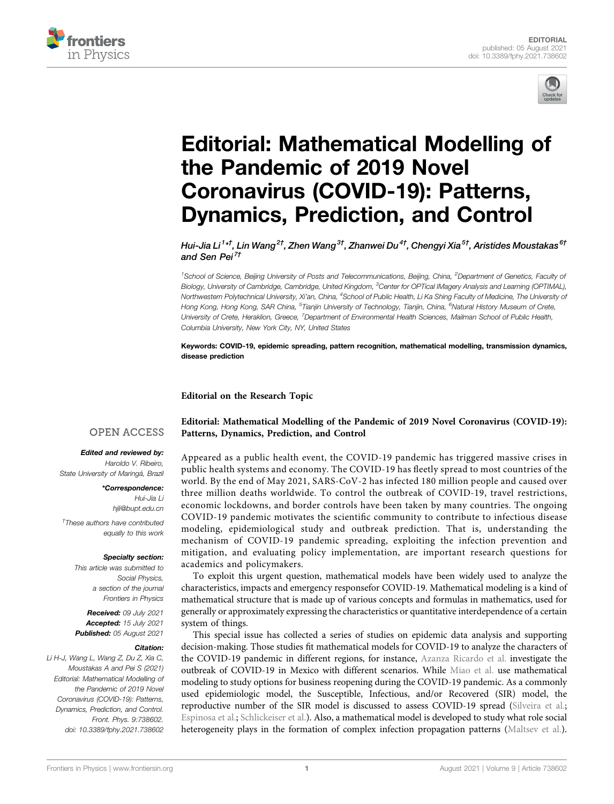



# [Editorial: Mathematical Modelling of](https://www.frontiersin.org/articles/10.3389/fphy.2021.738602/full) [the Pandemic of 2019 Novel](https://www.frontiersin.org/articles/10.3389/fphy.2021.738602/full) [Coronavirus \(COVID-19\): Patterns,](https://www.frontiersin.org/articles/10.3389/fphy.2021.738602/full) [Dynamics, Prediction, and Control](https://www.frontiersin.org/articles/10.3389/fphy.2021.738602/full)

Hui-Jia Li<sup>1</sup>\*<sup>†</sup>, Lin Wang<sup>2†</sup>, Zhen Wang<sup>3†</sup>, Zhanwei Du<sup>4†</sup>, Chengyi Xia<sup>5†</sup>, Aristides Moustakas <sup>6†</sup> and Sen Pei<sup>7†</sup>

<sup>1</sup>School of Science, Beijing University of Posts and Telecommunications, Beijing, China, <sup>2</sup>Department of Genetics, Faculty oi Biology, University of Cambridge, Cambridge, United Kingdom, <sup>3</sup>Center for OPTical IMagery Analysis and Learning (OPTIMAL), Northwestern Polytechnical University, Xi'an, China, <sup>4</sup>School of Public Health, Li Ka Shing Faculty of Medicine, The University of Hong Kong, Hong Kong, SAR China, <sup>5</sup>Tianjin University of Technology, Tianjin, China, <sup>6</sup>Natural History Museum of Crete, University of Crete, Heraklion, Greece, <sup>7</sup>Department of Environmental Health Sciences, Mailman School of Public Health, Columbia University, New York City, NY, United States

Keywords: COVID-19, epidemic spreading, pattern recognition, mathematical modelling, transmission dynamics, disease prediction

Editorial on the Research Topic

### **OPEN ACCESS**

#### Edited and reviewed by:

Haroldo V. Ribeiro, State University of Maringá, Brazil

\*Correspondence: Hui-Jia Li [hjli@bupt.edu.cn](mailto:hjli@bupt.edu.cn) † These authors have contributed equally to this work

#### Specialty section:

This article was submitted to Social Physics, a section of the journal Frontiers in Physics

Received: 09 July 2021 Accepted: 15 July 2021 Published: 05 August 2021

#### Citation:

Li H-J, Wang L, Wang Z, Du Z, Xia C, Moustakas A and Pei S (2021) Editorial: Mathematical Modelling of the Pandemic of 2019 Novel Coronavirus (COVID-19): Patterns, Dynamics, Prediction, and Control. Front. Phys. 9:738602. doi: [10.3389/fphy.2021.738602](https://doi.org/10.3389/fphy.2021.738602)

[Editorial: Mathematical Modelling of the Pandemic of 2019 Novel Coronavirus \(COVID-19\):](https://www.frontiersin.org/researchtopic/14086) [Patterns, Dynamics, Prediction, and Control](https://www.frontiersin.org/researchtopic/14086)

Appeared as a public health event, the COVID-19 pandemic has triggered massive crises in public health systems and economy. The COVID-19 has fleetly spread to most countries of the world. By the end of May 2021, SARS-CoV-2 has infected 180 million people and caused over three million deaths worldwide. To control the outbreak of COVID-19, travel restrictions, economic lockdowns, and border controls have been taken by many countries. The ongoing COVID-19 pandemic motivates the scientific community to contribute to infectious disease modeling, epidemiological study and outbreak prediction. That is, understanding the mechanism of COVID-19 pandemic spreading, exploiting the infection prevention and mitigation, and evaluating policy implementation, are important research questions for academics and policymakers.

To exploit this urgent question, mathematical models have been widely used to analyze the characteristics, impacts and emergency responsefor COVID-19. Mathematical modeling is a kind of mathematical structure that is made up of various concepts and formulas in mathematics, used for generally or approximately expressing the characteristics or quantitative interdependence of a certain system of things.

This special issue has collected a series of studies on epidemic data analysis and supporting decision-making. Those studies fit mathematical models for COVID-19 to analyze the characters of the COVID-19 pandemic in different regions, for instance, [Azanza Ricardo et al.](https://doi.org/10.3389/fphy.2020.573322) investigate the outbreak of COVID-19 in Mexico with different scenarios. While [Miao et al.](https://doi.org/10.3389/fams.2020.00035) use mathematical modeling to study options for business reopening during the COVID-19 pandemic. As a commonly used epidemiologic model, the Susceptible, Infectious, and/or Recovered (SIR) model, the reproductive number of the SIR model is discussed to assess COVID-19 spread [\(Silveira et al.;](https://doi.org/10.3389/fams.2020.565336) [Espinosa et al.;](https://doi.org/10.3389/fams.2020.571544) [Schlickeiser et al.\)](https://doi.org/10.3389/fphy.2020.593421). Also, a mathematical model is developed to study what role social heterogeneity plays in the formation of complex infection propagation patterns [\(Maltsev et al.\)](https://doi.org/10.3389/fphy.2020.609224).